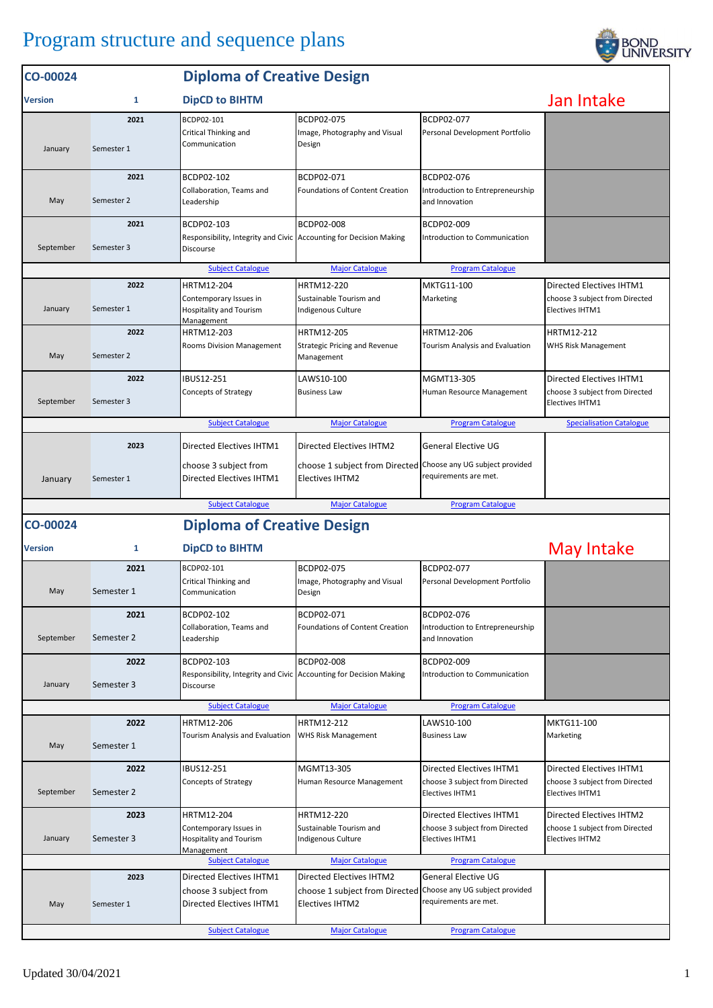## Program structure and sequence plans



| CO-00024       |                    | <b>Diploma of Creative Design</b>                                                                    |                                                                                                                            |                                                                                       |                                                                                      |  |
|----------------|--------------------|------------------------------------------------------------------------------------------------------|----------------------------------------------------------------------------------------------------------------------------|---------------------------------------------------------------------------------------|--------------------------------------------------------------------------------------|--|
| <b>Version</b> | 1                  | Jan Intake                                                                                           |                                                                                                                            |                                                                                       |                                                                                      |  |
| January        | 2021<br>Semester 1 | BCDP02-101<br>Critical Thinking and<br>Communication                                                 | BCDP02-075<br>Image, Photography and Visual<br>Design                                                                      | BCDP02-077<br>Personal Development Portfolio                                          |                                                                                      |  |
| May            | 2021<br>Semester 2 | BCDP02-102<br>Collaboration, Teams and<br>Leadership                                                 | BCDP02-071<br>Foundations of Content Creation                                                                              | BCDP02-076<br>Introduction to Entrepreneurship<br>and Innovation                      |                                                                                      |  |
| September      | 2021<br>Semester 3 | BCDP02-103<br>Responsibility, Integrity and Civic Accounting for Decision Making<br>Discourse        | BCDP02-008                                                                                                                 | BCDP02-009<br>Introduction to Communication                                           |                                                                                      |  |
|                |                    | <b>Subject Catalogue</b>                                                                             | <b>Major Catalogue</b>                                                                                                     | <b>Program Catalogue</b>                                                              |                                                                                      |  |
| January        | 2022<br>Semester 1 | HRTM12-204<br>Contemporary Issues in<br><b>Hospitality and Tourism</b><br>Management                 | HRTM12-220<br>Sustainable Tourism and<br>Indigenous Culture                                                                | MKTG11-100<br>Marketing                                                               | Directed Electives IHTM1<br>choose 3 subject from Directed<br><b>Electives IHTM1</b> |  |
| May            | 2022<br>Semester 2 | HRTM12-203<br>Rooms Division Management                                                              | <b>HRTM12-205</b><br><b>Strategic Pricing and Revenue</b><br>Management                                                    | HRTM12-206<br>Tourism Analysis and Evaluation                                         | HRTM12-212<br>WHS Risk Management                                                    |  |
| September      | 2022<br>Semester 3 | <b>IBUS12-251</b><br>Concepts of Strategy                                                            | LAWS10-100<br><b>Business Law</b>                                                                                          | MGMT13-305<br>Human Resource Management                                               | Directed Electives IHTM1<br>choose 3 subject from Directed<br>Electives IHTM1        |  |
|                |                    | <b>Subject Catalogue</b>                                                                             | <b>Major Catalogue</b>                                                                                                     | <b>Program Catalogue</b>                                                              | <b>Specialisation Catalogue</b>                                                      |  |
| January        | 2023<br>Semester 1 | Directed Electives IHTM1<br>choose 3 subject from<br>Directed Electives IHTM1                        | <b>Directed Electives IHTM2</b><br>choose 1 subject from Directed Choose any UG subject provided<br><b>Electives IHTM2</b> | <b>General Elective UG</b><br>requirements are met.                                   |                                                                                      |  |
|                |                    | <b>Subject Catalogue</b>                                                                             | <b>Major Catalogue</b>                                                                                                     | <b>Program Catalogue</b>                                                              |                                                                                      |  |
| CO-00024       |                    | <b>Diploma of Creative Design</b>                                                                    |                                                                                                                            |                                                                                       |                                                                                      |  |
| <b>Version</b> | 1                  | <b>DipCD to BIHTM</b>                                                                                |                                                                                                                            |                                                                                       | May Intake                                                                           |  |
| May            | 2021<br>Semester 1 | BCDP02-101<br>Critical Thinking and<br>Communication                                                 | BCDP02-075<br>Image, Photography and Visual<br>Design                                                                      | BCDP02-077<br>Personal Development Portfolio                                          |                                                                                      |  |
| September      | 2021<br>Semester 2 | BCDP02-102<br>Collaboration, Teams and<br>Leadership                                                 | BCDP02-071<br><b>Foundations of Content Creation</b>                                                                       | BCDP02-076<br>Introduction to Entrepreneurship<br>and Innovation                      |                                                                                      |  |
| January        | 2022<br>Semester 3 | BCDP02-103<br>Responsibility, Integrity and Civic Accounting for Decision Making<br><b>Discourse</b> | <b>BCDP02-008</b>                                                                                                          | BCDP02-009<br>Introduction to Communication                                           |                                                                                      |  |
|                |                    | <b>Subject Catalogue</b>                                                                             | <b>Major Catalogue</b>                                                                                                     | <b>Program Catalogue</b>                                                              |                                                                                      |  |
| May            | 2022<br>Semester 1 | HRTM12-206<br>Tourism Analysis and Evaluation                                                        | HRTM12-212<br><b>WHS Risk Management</b>                                                                                   | LAWS10-100<br><b>Business Law</b>                                                     | MKTG11-100<br>Marketing                                                              |  |
| September      | 2022<br>Semester 2 | <b>IBUS12-251</b><br><b>Concepts of Strategy</b>                                                     | MGMT13-305<br>Human Resource Management                                                                                    | Directed Electives IHTM1<br>choose 3 subject from Directed<br><b>Electives IHTM1</b>  | Directed Electives IHTM1<br>choose 3 subject from Directed<br><b>Electives IHTM1</b> |  |
| January        | 2023<br>Semester 3 | HRTM12-204<br>Contemporary Issues in<br><b>Hospitality and Tourism</b><br>Management                 | <b>HRTM12-220</b><br>Sustainable Tourism and<br>Indigenous Culture                                                         | Directed Electives IHTM1<br>choose 3 subject from Directed<br><b>Electives IHTM1</b>  | Directed Electives IHTM2<br>choose 1 subject from Directed<br><b>Electives IHTM2</b> |  |
|                |                    | <b>Subject Catalogue</b>                                                                             | <b>Major Catalogue</b>                                                                                                     | <b>Program Catalogue</b>                                                              |                                                                                      |  |
| May            | 2023<br>Semester 1 | Directed Electives IHTM1<br>choose 3 subject from<br>Directed Electives IHTM1                        | <b>Directed Electives IHTM2</b><br>choose 1 subject from Directed<br><b>Electives IHTM2</b>                                | <b>General Elective UG</b><br>Choose any UG subject provided<br>requirements are met. |                                                                                      |  |
|                |                    | <b>Subject Catalogue</b>                                                                             | <b>Major Catalogue</b>                                                                                                     | <b>Program Catalogue</b>                                                              |                                                                                      |  |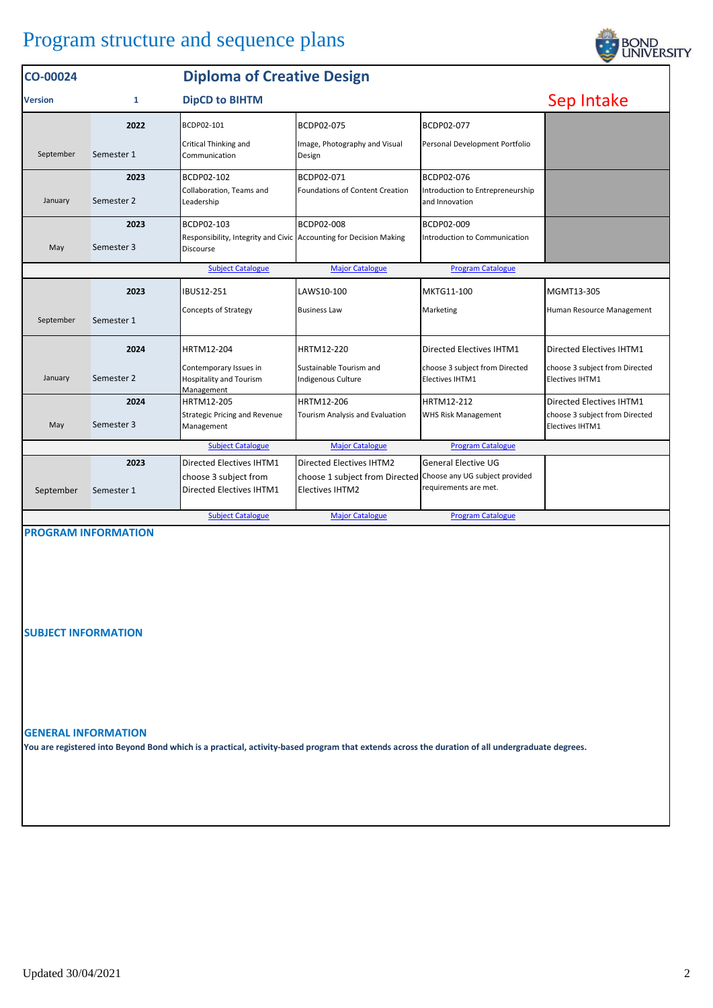## Program structure and sequence plans

| CO-00024       |              |                                                                                 | <b>Diploma of Creative Design</b>                             |                                                    |                                                   |  |  |  |
|----------------|--------------|---------------------------------------------------------------------------------|---------------------------------------------------------------|----------------------------------------------------|---------------------------------------------------|--|--|--|
| <b>Version</b> | $\mathbf{1}$ | <b>DipCD to BIHTM</b>                                                           |                                                               | Sep Intake                                         |                                                   |  |  |  |
|                | 2022         | BCDP02-101                                                                      | BCDP02-075                                                    | BCDP02-077                                         |                                                   |  |  |  |
| September      | Semester 1   | Critical Thinking and<br>Communication                                          | Image, Photography and Visual<br>Design                       | Personal Development Portfolio                     |                                                   |  |  |  |
|                | 2023         | BCDP02-102                                                                      | BCDP02-071                                                    | BCDP02-076                                         |                                                   |  |  |  |
| January        | Semester 2   | Collaboration, Teams and<br>Leadership                                          | <b>Foundations of Content Creation</b>                        | Introduction to Entrepreneurship<br>and Innovation |                                                   |  |  |  |
|                | 2023         | BCDP02-103                                                                      | <b>BCDP02-008</b>                                             | BCDP02-009                                         |                                                   |  |  |  |
| May            | Semester 3   | Responsibility, Integrity and Civic Accounting for Decision Making<br>Discourse |                                                               | Introduction to Communication                      |                                                   |  |  |  |
|                |              | <b>Subject Catalogue</b>                                                        | <b>Major Catalogue</b>                                        | <b>Program Catalogue</b>                           |                                                   |  |  |  |
|                | 2023         | <b>IBUS12-251</b>                                                               | LAWS10-100                                                    | MKTG11-100                                         | MGMT13-305                                        |  |  |  |
| September      | Semester 1   | <b>Concepts of Strategy</b>                                                     | <b>Business Law</b>                                           | Marketing                                          | Human Resource Management                         |  |  |  |
|                | 2024         | HRTM12-204                                                                      | HRTM12-220                                                    | Directed Electives IHTM1                           | Directed Electives IHTM1                          |  |  |  |
| January        | Semester 2   | Contemporary Issues in<br><b>Hospitality and Tourism</b><br>Management          | Sustainable Tourism and<br>Indigenous Culture                 | choose 3 subject from Directed<br>Electives IHTM1  | choose 3 subject from Directed<br>Electives IHTM1 |  |  |  |
|                | 2024         | HRTM12-205                                                                      | HRTM12-206                                                    | HRTM12-212                                         | Directed Electives IHTM1                          |  |  |  |
| May            | Semester 3   | <b>Strategic Pricing and Revenue</b><br>Management                              | Tourism Analysis and Evaluation                               | WHS Risk Management                                | choose 3 subject from Directed<br>Electives IHTM1 |  |  |  |
|                |              | <b>Subject Catalogue</b>                                                        | <b>Major Catalogue</b>                                        | <b>Program Catalogue</b>                           |                                                   |  |  |  |
|                | 2023         | Directed Electives IHTM1                                                        | <b>Directed Electives IHTM2</b>                               | <b>General Elective UG</b>                         |                                                   |  |  |  |
|                |              | choose 3 subject from                                                           | choose 1 subject from Directed Choose any UG subject provided |                                                    |                                                   |  |  |  |
| September      | Semester 1   | Directed Electives IHTM1                                                        | <b>Electives IHTM2</b>                                        | requirements are met.                              |                                                   |  |  |  |
|                |              | <b>Subject Catalogue</b>                                                        | <b>Major Catalogue</b>                                        | <b>Program Catalogue</b>                           |                                                   |  |  |  |

**PROGRAM INFORMATION**

**SUBJECT INFORMATION**

## **GENERAL INFORMATION**

**You are registered into Beyond Bond which is a practical, activity-based program that extends across the duration of all undergraduate degrees.**